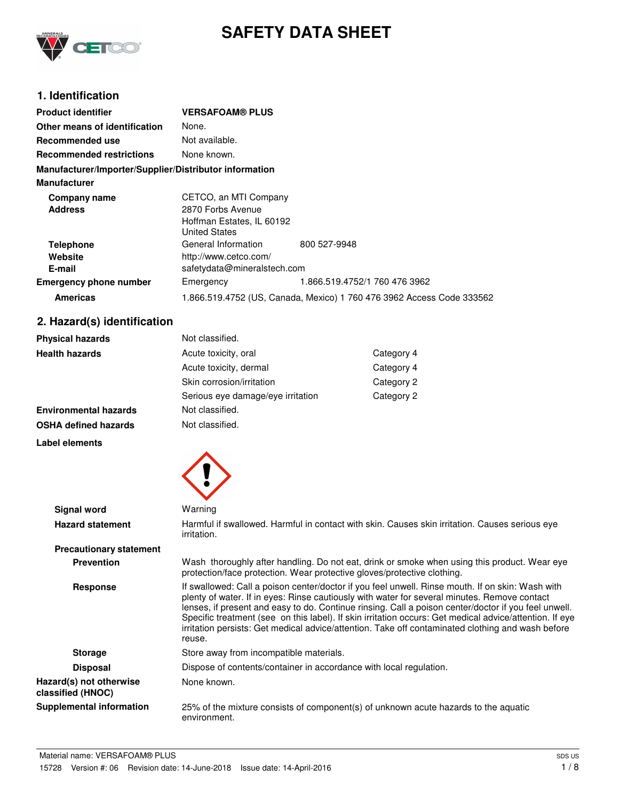

# **SAFETY DATA SHEET**

## **1. Identification**

| <b>Product identifier</b>                              | <b>VERSAFOAM® PLUS</b>      |                                                                       |
|--------------------------------------------------------|-----------------------------|-----------------------------------------------------------------------|
| Other means of identification                          | None.                       |                                                                       |
| Recommended use                                        | Not available.              |                                                                       |
| <b>Recommended restrictions</b>                        | None known.                 |                                                                       |
| Manufacturer/Importer/Supplier/Distributor information |                             |                                                                       |
| <b>Manufacturer</b>                                    |                             |                                                                       |
| Company name                                           | CETCO, an MTI Company       |                                                                       |
| <b>Address</b>                                         | 2870 Forbs Avenue           |                                                                       |
|                                                        | Hoffman Estates, IL 60192   |                                                                       |
|                                                        | <b>United States</b>        |                                                                       |
| <b>Telephone</b>                                       | General Information         | 800 527-9948                                                          |
| Website                                                | http://www.cetco.com/       |                                                                       |
| E-mail                                                 | safetydata@mineralstech.com |                                                                       |
| <b>Emergency phone number</b>                          | Emergency                   | 1.866.519.4752/1 760 476 3962                                         |
| <b>Americas</b>                                        |                             | 1.866.519.4752 (US, Canada, Mexico) 1 760 476 3962 Access Code 333562 |

## **2. Hazard(s) identification**

| <b>Physical hazards</b>      | Not classified.                   |            |
|------------------------------|-----------------------------------|------------|
| <b>Health hazards</b>        | Acute toxicity, oral              | Category 4 |
|                              | Acute toxicity, dermal            | Category 4 |
|                              | Skin corrosion/irritation         | Category 2 |
|                              | Serious eye damage/eye irritation | Category 2 |
| <b>Environmental hazards</b> | Not classified.                   |            |
| <b>OSHA defined hazards</b>  | Not classified.                   |            |

**Label elements**



| <b>Signal word</b>                           | Warning                                                                                                                                                                                                                                                                                                                                                                                                                                                                                                                            |
|----------------------------------------------|------------------------------------------------------------------------------------------------------------------------------------------------------------------------------------------------------------------------------------------------------------------------------------------------------------------------------------------------------------------------------------------------------------------------------------------------------------------------------------------------------------------------------------|
| <b>Hazard statement</b>                      | Harmful if swallowed. Harmful in contact with skin. Causes skin irritation. Causes serious eye<br><i>irritation.</i>                                                                                                                                                                                                                                                                                                                                                                                                               |
| <b>Precautionary statement</b>               |                                                                                                                                                                                                                                                                                                                                                                                                                                                                                                                                    |
| <b>Prevention</b>                            | Wash thoroughly after handling. Do not eat, drink or smoke when using this product. Wear eye<br>protection/face protection. Wear protective gloves/protective clothing.                                                                                                                                                                                                                                                                                                                                                            |
| <b>Response</b>                              | If swallowed: Call a poison center/doctor if you feel unwell. Rinse mouth. If on skin: Wash with<br>plenty of water. If in eyes: Rinse cautiously with water for several minutes. Remove contact<br>lenses, if present and easy to do. Continue rinsing. Call a poison center/doctor if you feel unwell.<br>Specific treatment (see on this label). If skin irritation occurs: Get medical advice/attention. If eye<br>irritation persists: Get medical advice/attention. Take off contaminated clothing and wash before<br>reuse. |
| <b>Storage</b>                               | Store away from incompatible materials.                                                                                                                                                                                                                                                                                                                                                                                                                                                                                            |
| <b>Disposal</b>                              | Dispose of contents/container in accordance with local regulation.                                                                                                                                                                                                                                                                                                                                                                                                                                                                 |
| Hazard(s) not otherwise<br>classified (HNOC) | None known.                                                                                                                                                                                                                                                                                                                                                                                                                                                                                                                        |
| <b>Supplemental information</b>              | 25% of the mixture consists of component(s) of unknown acute hazards to the aquatic<br>environment.                                                                                                                                                                                                                                                                                                                                                                                                                                |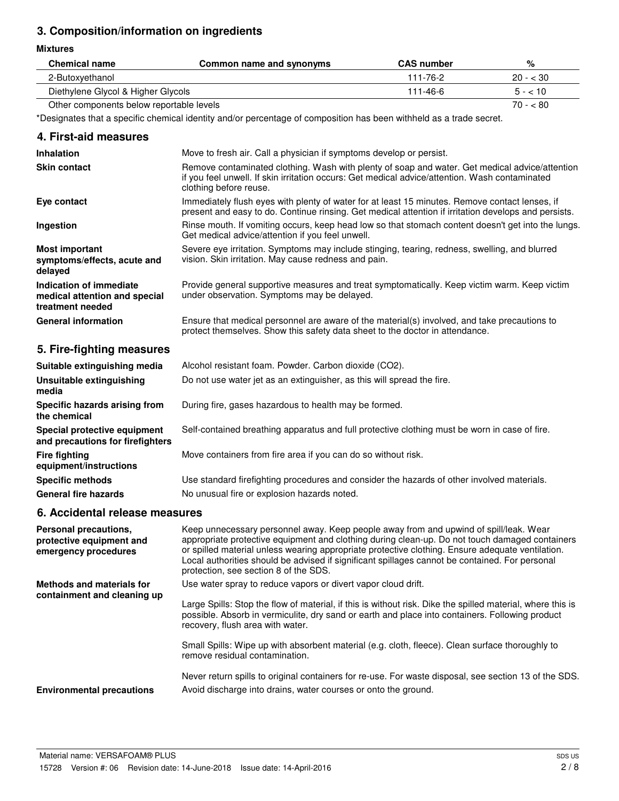## **3. Composition/information on ingredients**

#### **Mixtures**

| <b>Chemical name</b>               | Common name and synonyms | <b>CAS</b> number | %         |
|------------------------------------|--------------------------|-------------------|-----------|
| 2-Butoxyethanol                    |                          | 111-76-2          | $20 - 30$ |
| Diethylene Glycol & Higher Glycols |                          | 111-46-6          | $5 - 10$  |
|                                    |                          |                   |           |

Other components below reportable levels 70 - < 80

\*Designates that a specific chemical identity and/or percentage of composition has been withheld as a trade secret.

#### **4. First-aid measures**

| <b>Inhalation</b>                                                            | Move to fresh air. Call a physician if symptoms develop or persist.                                                                                                                                                        |
|------------------------------------------------------------------------------|----------------------------------------------------------------------------------------------------------------------------------------------------------------------------------------------------------------------------|
| <b>Skin contact</b>                                                          | Remove contaminated clothing. Wash with plenty of soap and water. Get medical advice/attention<br>if you feel unwell. If skin irritation occurs: Get medical advice/attention. Wash contaminated<br>clothing before reuse. |
| Eye contact                                                                  | Immediately flush eyes with plenty of water for at least 15 minutes. Remove contact lenses, if<br>present and easy to do. Continue rinsing. Get medical attention if irritation develops and persists.                     |
| Ingestion                                                                    | Rinse mouth. If vomiting occurs, keep head low so that stomach content doesn't get into the lungs.<br>Get medical advice/attention if you feel unwell.                                                                     |
| <b>Most important</b><br>symptoms/effects, acute and<br>delayed              | Severe eye irritation. Symptoms may include stinging, tearing, redness, swelling, and blurred<br>vision. Skin irritation. May cause redness and pain.                                                                      |
| Indication of immediate<br>medical attention and special<br>treatment needed | Provide general supportive measures and treat symptomatically. Keep victim warm. Keep victim<br>under observation. Symptoms may be delayed.                                                                                |
| <b>General information</b>                                                   | Ensure that medical personnel are aware of the material(s) involved, and take precautions to<br>protect themselves. Show this safety data sheet to the doctor in attendance.                                               |

## **5. Fire-fighting measures**

| Suitable extinguishing media                                     | Alcohol resistant foam. Powder. Carbon dioxide (CO2).                                         |
|------------------------------------------------------------------|-----------------------------------------------------------------------------------------------|
| Unsuitable extinguishing<br>media                                | Do not use water jet as an extinguisher, as this will spread the fire.                        |
| Specific hazards arising from<br>the chemical                    | During fire, gases hazardous to health may be formed.                                         |
| Special protective equipment<br>and precautions for firefighters | Self-contained breathing apparatus and full protective clothing must be worn in case of fire. |
| <b>Fire fighting</b><br>equipment/instructions                   | Move containers from fire area if you can do so without risk.                                 |
| <b>Specific methods</b>                                          | Use standard firefighting procedures and consider the hazards of other involved materials.    |
| <b>General fire hazards</b>                                      | No unusual fire or explosion hazards noted.                                                   |

## **6. Accidental release measures**

| Personal precautions,<br>protective equipment and<br>emergency procedures | Keep unnecessary personnel away. Keep people away from and upwind of spill/leak. Wear<br>appropriate protective equipment and clothing during clean-up. Do not touch damaged containers<br>or spilled material unless wearing appropriate protective clothing. Ensure adequate ventilation.<br>Local authorities should be advised if significant spillages cannot be contained. For personal<br>protection, see section 8 of the SDS. |
|---------------------------------------------------------------------------|----------------------------------------------------------------------------------------------------------------------------------------------------------------------------------------------------------------------------------------------------------------------------------------------------------------------------------------------------------------------------------------------------------------------------------------|
| Methods and materials for<br>containment and cleaning up                  | Use water spray to reduce vapors or divert vapor cloud drift.<br>Large Spills: Stop the flow of material, if this is without risk. Dike the spilled material, where this is                                                                                                                                                                                                                                                            |
|                                                                           | possible. Absorb in vermiculite, dry sand or earth and place into containers. Following product<br>recovery, flush area with water.                                                                                                                                                                                                                                                                                                    |
|                                                                           | Small Spills: Wipe up with absorbent material (e.g. cloth, fleece). Clean surface thoroughly to<br>remove residual contamination.                                                                                                                                                                                                                                                                                                      |
| <b>Environmental precautions</b>                                          | Never return spills to original containers for re-use. For waste disposal, see section 13 of the SDS.<br>Avoid discharge into drains, water courses or onto the ground.                                                                                                                                                                                                                                                                |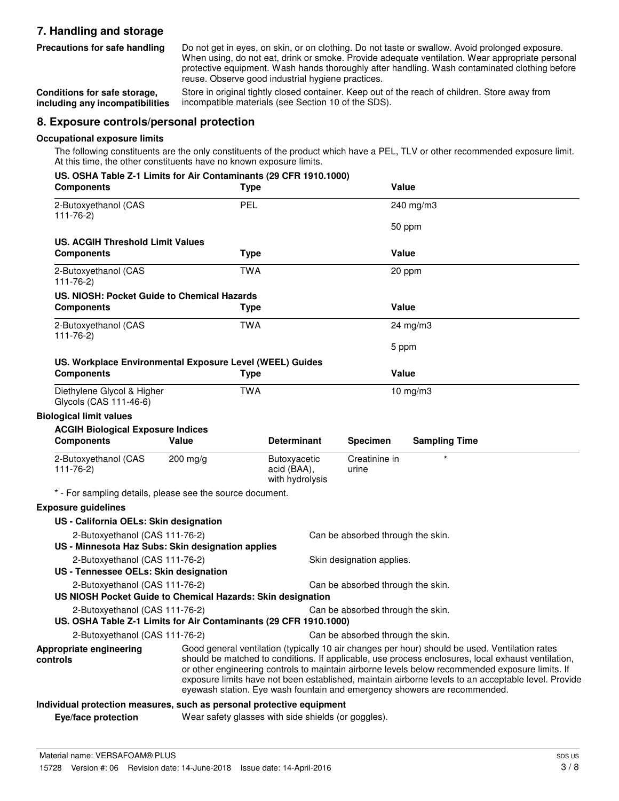## **7. Handling and storage**

Do not get in eyes, on skin, or on clothing. Do not taste or swallow. Avoid prolonged exposure. When using, do not eat, drink or smoke. Provide adequate ventilation. Wear appropriate personal protective equipment. Wash hands thoroughly after handling. Wash contaminated clothing before reuse. Observe good industrial hygiene practices. **Precautions for safe handling**

Store in original tightly closed container. Keep out of the reach of children. Store away from incompatible materials (see Section 10 of the SDS). **Conditions for safe storage, including any incompatibilities**

#### **8. Exposure controls/personal protection**

#### **Occupational exposure limits**

The following constituents are the only constituents of the product which have a PEL, TLV or other recommended exposure limit. At this time, the other constituents have no known exposure limits.

| US. OSHA Table Z-1 Limits for Air Contaminants (29 CFR 1910.1000)<br><b>Components</b>              | <b>Type</b>                                         |                                                | Value                             |                                                                                                                                                                                                                                                                                                                                                                                                                                                                                             |
|-----------------------------------------------------------------------------------------------------|-----------------------------------------------------|------------------------------------------------|-----------------------------------|---------------------------------------------------------------------------------------------------------------------------------------------------------------------------------------------------------------------------------------------------------------------------------------------------------------------------------------------------------------------------------------------------------------------------------------------------------------------------------------------|
| 2-Butoxyethanol (CAS<br>$111 - 76 - 2$                                                              | <b>PEL</b>                                          |                                                |                                   | 240 mg/m3                                                                                                                                                                                                                                                                                                                                                                                                                                                                                   |
|                                                                                                     |                                                     |                                                |                                   | 50 ppm                                                                                                                                                                                                                                                                                                                                                                                                                                                                                      |
| <b>US. ACGIH Threshold Limit Values</b>                                                             |                                                     |                                                |                                   |                                                                                                                                                                                                                                                                                                                                                                                                                                                                                             |
| <b>Components</b>                                                                                   | <b>Type</b>                                         |                                                | Value                             |                                                                                                                                                                                                                                                                                                                                                                                                                                                                                             |
| 2-Butoxyethanol (CAS<br>$111 - 76 - 2$                                                              | <b>TWA</b>                                          |                                                |                                   | 20 ppm                                                                                                                                                                                                                                                                                                                                                                                                                                                                                      |
| US. NIOSH: Pocket Guide to Chemical Hazards                                                         |                                                     |                                                |                                   |                                                                                                                                                                                                                                                                                                                                                                                                                                                                                             |
| <b>Components</b>                                                                                   | <b>Type</b>                                         |                                                | Value                             |                                                                                                                                                                                                                                                                                                                                                                                                                                                                                             |
| 2-Butoxyethanol (CAS<br>$111 - 76 - 2$                                                              | <b>TWA</b>                                          |                                                |                                   | 24 mg/m3                                                                                                                                                                                                                                                                                                                                                                                                                                                                                    |
|                                                                                                     |                                                     |                                                | 5 ppm                             |                                                                                                                                                                                                                                                                                                                                                                                                                                                                                             |
| US. Workplace Environmental Exposure Level (WEEL) Guides                                            |                                                     |                                                |                                   |                                                                                                                                                                                                                                                                                                                                                                                                                                                                                             |
| <b>Components</b>                                                                                   | <b>Type</b>                                         |                                                | Value                             |                                                                                                                                                                                                                                                                                                                                                                                                                                                                                             |
| Diethylene Glycol & Higher<br>Glycols (CAS 111-46-6)                                                | <b>TWA</b>                                          |                                                |                                   | $10$ mg/m $3$                                                                                                                                                                                                                                                                                                                                                                                                                                                                               |
| <b>Biological limit values</b>                                                                      |                                                     |                                                |                                   |                                                                                                                                                                                                                                                                                                                                                                                                                                                                                             |
| <b>ACGIH Biological Exposure Indices</b><br><b>Components</b>                                       | Value                                               | <b>Determinant</b>                             | <b>Specimen</b>                   | <b>Sampling Time</b>                                                                                                                                                                                                                                                                                                                                                                                                                                                                        |
| 2-Butoxyethanol (CAS<br>$111 - 76 - 2$                                                              | $200$ mg/g                                          | Butoxyacetic<br>acid (BAA),<br>with hydrolysis | Creatinine in<br>urine            |                                                                                                                                                                                                                                                                                                                                                                                                                                                                                             |
| * - For sampling details, please see the source document.                                           |                                                     |                                                |                                   |                                                                                                                                                                                                                                                                                                                                                                                                                                                                                             |
| <b>Exposure guidelines</b>                                                                          |                                                     |                                                |                                   |                                                                                                                                                                                                                                                                                                                                                                                                                                                                                             |
| US - California OELs: Skin designation                                                              |                                                     |                                                |                                   |                                                                                                                                                                                                                                                                                                                                                                                                                                                                                             |
| 2-Butoxyethanol (CAS 111-76-2)                                                                      |                                                     |                                                | Can be absorbed through the skin. |                                                                                                                                                                                                                                                                                                                                                                                                                                                                                             |
| US - Minnesota Haz Subs: Skin designation applies                                                   |                                                     |                                                |                                   |                                                                                                                                                                                                                                                                                                                                                                                                                                                                                             |
| 2-Butoxyethanol (CAS 111-76-2)<br>US - Tennessee OELs: Skin designation                             |                                                     |                                                | Skin designation applies.         |                                                                                                                                                                                                                                                                                                                                                                                                                                                                                             |
| 2-Butoxyethanol (CAS 111-76-2)<br>US NIOSH Pocket Guide to Chemical Hazards: Skin designation       |                                                     |                                                | Can be absorbed through the skin. |                                                                                                                                                                                                                                                                                                                                                                                                                                                                                             |
| 2-Butoxyethanol (CAS 111-76-2)<br>US. OSHA Table Z-1 Limits for Air Contaminants (29 CFR 1910.1000) |                                                     |                                                | Can be absorbed through the skin. |                                                                                                                                                                                                                                                                                                                                                                                                                                                                                             |
| 2-Butoxyethanol (CAS 111-76-2)                                                                      |                                                     |                                                | Can be absorbed through the skin. |                                                                                                                                                                                                                                                                                                                                                                                                                                                                                             |
| Appropriate engineering<br>controls                                                                 |                                                     |                                                |                                   | Good general ventilation (typically 10 air changes per hour) should be used. Ventilation rates<br>should be matched to conditions. If applicable, use process enclosures, local exhaust ventilation,<br>or other engineering controls to maintain airborne levels below recommended exposure limits. If<br>exposure limits have not been established, maintain airborne levels to an acceptable level. Provide<br>eyewash station. Eye wash fountain and emergency showers are recommended. |
| Individual protection measures, such as personal protective equipment                               |                                                     |                                                |                                   |                                                                                                                                                                                                                                                                                                                                                                                                                                                                                             |
| Eye/face protection                                                                                 | Wear safety glasses with side shields (or goggles). |                                                |                                   |                                                                                                                                                                                                                                                                                                                                                                                                                                                                                             |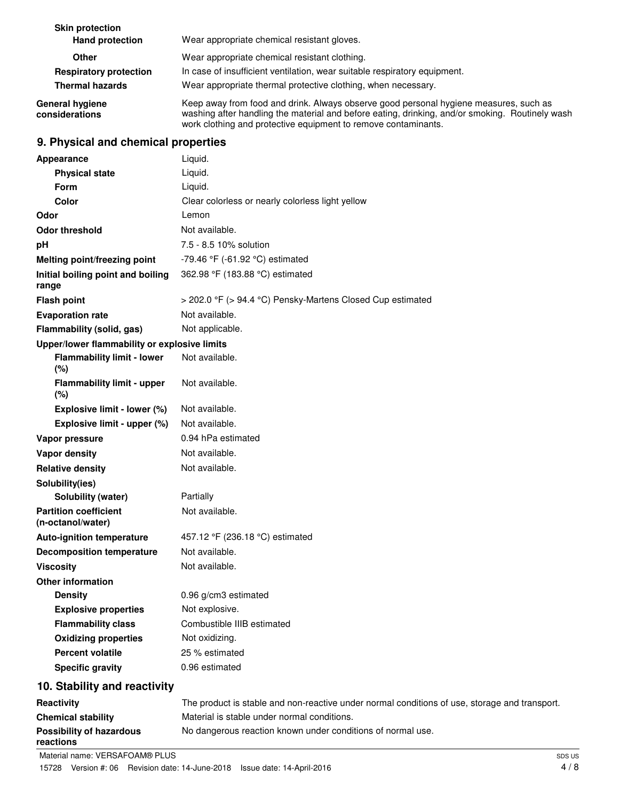| <b>Skin protection</b><br><b>Hand protection</b> | Wear appropriate chemical resistant gloves.                                                                                                                                                                                                                |
|--------------------------------------------------|------------------------------------------------------------------------------------------------------------------------------------------------------------------------------------------------------------------------------------------------------------|
| Other                                            | Wear appropriate chemical resistant clothing.                                                                                                                                                                                                              |
| <b>Respiratory protection</b>                    | In case of insufficient ventilation, wear suitable respiratory equipment.                                                                                                                                                                                  |
| <b>Thermal hazards</b>                           | Wear appropriate thermal protective clothing, when necessary.                                                                                                                                                                                              |
| General hygiene<br>considerations                | Keep away from food and drink. Always observe good personal hygiene measures, such as<br>washing after handling the material and before eating, drinking, and/or smoking. Routinely wash<br>work clothing and protective equipment to remove contaminants. |
| 9. Physical and chemical properties              |                                                                                                                                                                                                                                                            |
| Appearance                                       | Liquid.                                                                                                                                                                                                                                                    |
| <b>Physical state</b>                            | Liquid.                                                                                                                                                                                                                                                    |
| <b>Form</b>                                      | Liquid.                                                                                                                                                                                                                                                    |
| Color                                            | Clear colorless or nearly colorless light yellow                                                                                                                                                                                                           |
| Odor                                             | Lemon                                                                                                                                                                                                                                                      |
| <b>Odor threshold</b>                            | Not available.                                                                                                                                                                                                                                             |
| рH                                               | 7.5 - 8.5 10% solution                                                                                                                                                                                                                                     |
| Melting point/freezing point                     | $-79.46$ °F ( $-61.92$ °C) estimated                                                                                                                                                                                                                       |
| Initial boiling point and boiling<br>range       | 362.98 °F (183.88 °C) estimated                                                                                                                                                                                                                            |

**Flash point** > 202.0 °F (> 94.4 °C) Pensky-Martens Closed Cup estimated

### **Evaporation rate** Not available. **Flammability (solid, gas)** Not applicable.

| Upper/lower flammability or explosive limits      |                                                                                           |
|---------------------------------------------------|-------------------------------------------------------------------------------------------|
| <b>Flammability limit - lower</b><br>(%)          | Not available.                                                                            |
| <b>Flammability limit - upper</b><br>(%)          | Not available.                                                                            |
| Explosive limit - lower (%)                       | Not available.                                                                            |
| Explosive limit - upper (%)                       | Not available.                                                                            |
| Vapor pressure                                    | 0.94 hPa estimated                                                                        |
| <b>Vapor density</b>                              | Not available.                                                                            |
| <b>Relative density</b>                           | Not available.                                                                            |
| Solubility(ies)                                   |                                                                                           |
| Solubility (water)                                | Partially                                                                                 |
| <b>Partition coefficient</b><br>(n-octanol/water) | Not available.                                                                            |
| <b>Auto-ignition temperature</b>                  | 457.12 °F (236.18 °C) estimated                                                           |
| <b>Decomposition temperature</b>                  | Not available.                                                                            |
| <b>Viscosity</b>                                  | Not available.                                                                            |
| <b>Other information</b>                          |                                                                                           |
| <b>Density</b>                                    | 0.96 g/cm3 estimated                                                                      |
| <b>Explosive properties</b>                       | Not explosive.                                                                            |
| <b>Flammability class</b>                         | Combustible IIIB estimated                                                                |
| <b>Oxidizing properties</b>                       | Not oxidizing.                                                                            |
| <b>Percent volatile</b>                           | 25 % estimated                                                                            |
| <b>Specific gravity</b>                           | 0.96 estimated                                                                            |
| 10. Stability and reactivity                      |                                                                                           |
| <b>Reactivity</b>                                 | The product is stable and non-reactive under normal conditions of use, storage and transp |

## **Reactivity** The product is stable and non-reactive under normal conditions of use, storage and transport. **Chemical stability** Material is stable under normal conditions. **Possibility of hazardous** No dangerous reaction known under conditions of normal use. **reactions**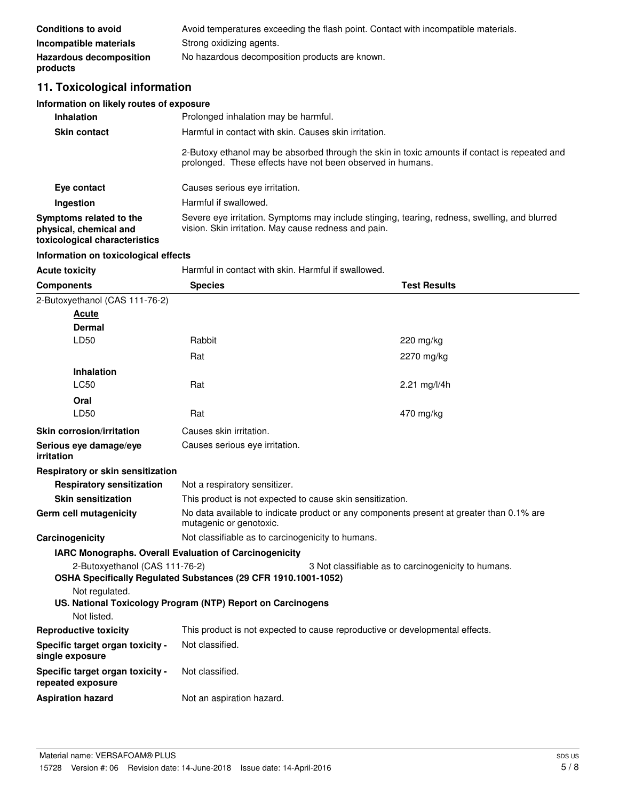| <b>Conditions to avoid</b>                 | Avoid temperatures exceeding the flash point. Contact with incompatible materials. |
|--------------------------------------------|------------------------------------------------------------------------------------|
| Incompatible materials                     | Strong oxidizing agents.                                                           |
| <b>Hazardous decomposition</b><br>products | No hazardous decomposition products are known.                                     |

## **11. Toxicological information**

## **Information on likely routes of exposure**

| <b>Inhalation</b>                                                                  | Prolonged inhalation may be harmful.                                                                                                                        |
|------------------------------------------------------------------------------------|-------------------------------------------------------------------------------------------------------------------------------------------------------------|
| <b>Skin contact</b>                                                                | Harmful in contact with skin. Causes skin irritation.                                                                                                       |
|                                                                                    | 2-Butoxy ethanol may be absorbed through the skin in toxic amounts if contact is repeated and<br>prolonged. These effects have not been observed in humans. |
| Eye contact                                                                        | Causes serious eye irritation.                                                                                                                              |
| Ingestion                                                                          | Harmful if swallowed.                                                                                                                                       |
| Symptoms related to the<br>physical, chemical and<br>toxicological characteristics | Severe eye irritation. Symptoms may include stinging, tearing, redness, swelling, and blurred<br>vision. Skin irritation. May cause redness and pain.       |

## **Information on toxicological effects**

| <b>Acute toxicity</b>                                 | Harmful in contact with skin. Harmful if swallowed.                                                                 |                                                     |
|-------------------------------------------------------|---------------------------------------------------------------------------------------------------------------------|-----------------------------------------------------|
| <b>Components</b>                                     | <b>Species</b>                                                                                                      | <b>Test Results</b>                                 |
| 2-Butoxyethanol (CAS 111-76-2)                        |                                                                                                                     |                                                     |
| <u>Acute</u>                                          |                                                                                                                     |                                                     |
| Dermal                                                |                                                                                                                     |                                                     |
| LD50                                                  | Rabbit                                                                                                              | $220$ mg/kg                                         |
|                                                       | Rat                                                                                                                 | 2270 mg/kg                                          |
| <b>Inhalation</b>                                     |                                                                                                                     |                                                     |
| <b>LC50</b>                                           | Rat                                                                                                                 | 2.21 mg/l/4h                                        |
| Oral                                                  |                                                                                                                     |                                                     |
| LD50                                                  | Rat                                                                                                                 | 470 mg/kg                                           |
| Skin corrosion/irritation                             | Causes skin irritation.                                                                                             |                                                     |
| Serious eye damage/eye<br>irritation                  | Causes serious eye irritation.                                                                                      |                                                     |
| Respiratory or skin sensitization                     |                                                                                                                     |                                                     |
| <b>Respiratory sensitization</b>                      | Not a respiratory sensitizer.                                                                                       |                                                     |
| <b>Skin sensitization</b>                             | This product is not expected to cause skin sensitization.                                                           |                                                     |
| Germ cell mutagenicity                                | No data available to indicate product or any components present at greater than 0.1% are<br>mutagenic or genotoxic. |                                                     |
| Carcinogenicity                                       | Not classifiable as to carcinogenicity to humans.                                                                   |                                                     |
|                                                       | IARC Monographs. Overall Evaluation of Carcinogenicity                                                              |                                                     |
| 2-Butoxyethanol (CAS 111-76-2)                        | OSHA Specifically Regulated Substances (29 CFR 1910.1001-1052)                                                      | 3 Not classifiable as to carcinogenicity to humans. |
| Not regulated.                                        | US. National Toxicology Program (NTP) Report on Carcinogens                                                         |                                                     |
| Not listed.                                           |                                                                                                                     |                                                     |
| <b>Reproductive toxicity</b>                          | This product is not expected to cause reproductive or developmental effects.                                        |                                                     |
| Specific target organ toxicity -<br>single exposure   | Not classified.                                                                                                     |                                                     |
| Specific target organ toxicity -<br>repeated exposure | Not classified.                                                                                                     |                                                     |
| <b>Aspiration hazard</b>                              | Not an aspiration hazard.                                                                                           |                                                     |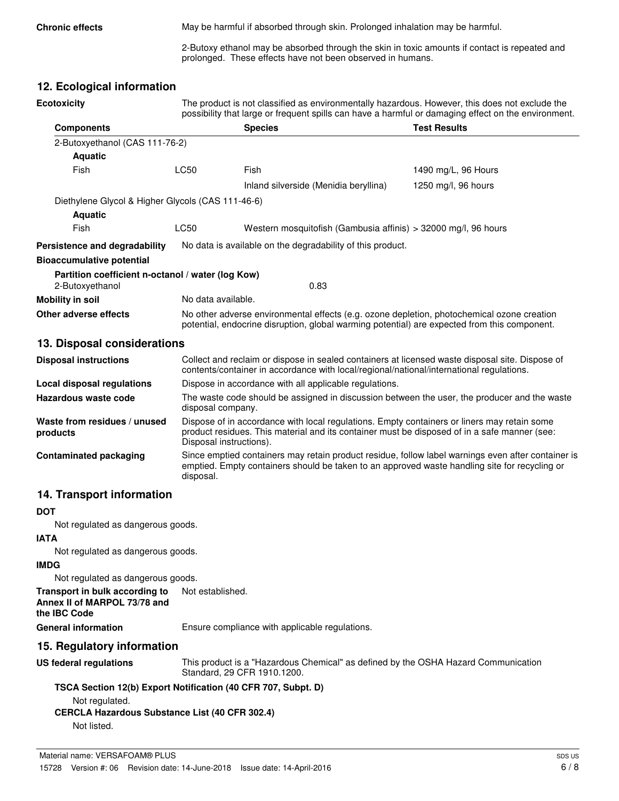**Chronic effects** May be harmful if absorbed through skin. Prolonged inhalation may be harmful.

2-Butoxy ethanol may be absorbed through the skin in toxic amounts if contact is repeated and prolonged. These effects have not been observed in humans.

## **12. Ecological information**

| <b>Ecotoxicity</b>                                                   | The product is not classified as environmentally hazardous. However, this does not exclude the<br>possibility that large or frequent spills can have a harmful or damaging effect on the environment. |                                                                |                     |
|----------------------------------------------------------------------|-------------------------------------------------------------------------------------------------------------------------------------------------------------------------------------------------------|----------------------------------------------------------------|---------------------|
| <b>Components</b>                                                    |                                                                                                                                                                                                       | <b>Species</b>                                                 | <b>Test Results</b> |
| 2-Butoxyethanol (CAS 111-76-2)                                       |                                                                                                                                                                                                       |                                                                |                     |
| <b>Aquatic</b>                                                       |                                                                                                                                                                                                       |                                                                |                     |
| Fish                                                                 | LC50                                                                                                                                                                                                  | Fish                                                           | 1490 mg/L, 96 Hours |
|                                                                      |                                                                                                                                                                                                       | Inland silverside (Menidia beryllina)                          | 1250 mg/l, 96 hours |
| Diethylene Glycol & Higher Glycols (CAS 111-46-6)                    |                                                                                                                                                                                                       |                                                                |                     |
| <b>Aquatic</b>                                                       |                                                                                                                                                                                                       |                                                                |                     |
| Fish                                                                 | LC50                                                                                                                                                                                                  | Western mosquitofish (Gambusia affinis) > 32000 mg/l, 96 hours |                     |
| Persistence and degradability                                        |                                                                                                                                                                                                       | No data is available on the degradability of this product.     |                     |
| <b>Bioaccumulative potential</b>                                     |                                                                                                                                                                                                       |                                                                |                     |
| Partition coefficient n-octanol / water (log Kow)<br>2-Butoxyethanol |                                                                                                                                                                                                       | 0.83                                                           |                     |
| <b>Mobility in soil</b>                                              | No data available.                                                                                                                                                                                    |                                                                |                     |
| Other adverse effects                                                | No other adverse environmental effects (e.g. ozone depletion, photochemical ozone creation<br>potential, endocrine disruption, global warming potential) are expected from this component.            |                                                                |                     |
| 13. Disposal considerations                                          |                                                                                                                                                                                                       |                                                                |                     |
| <b>Disposal instructions</b>                                         | Collect and reclaim or dispose in sealed containers at licensed waste disposal site. Dispose of                                                                                                       |                                                                |                     |

| LISPUSSI IIISUUULIUIIS                   | <u>UUIIGUL QHU TGUQIHI UL UISDUSG III SGAIGU CUTIQIHGIS ALIIUGHSGU WASIG UISDUSALSIIG. DISDUSG UI</u><br>contents/container in accordance with local/regional/national/international regulations.                      |
|------------------------------------------|------------------------------------------------------------------------------------------------------------------------------------------------------------------------------------------------------------------------|
| <b>Local disposal regulations</b>        | Dispose in accordance with all applicable regulations.                                                                                                                                                                 |
| Hazardous waste code                     | The waste code should be assigned in discussion between the user, the producer and the waste<br>disposal company.                                                                                                      |
| Waste from residues / unused<br>products | Dispose of in accordance with local regulations. Empty containers or liners may retain some<br>product residues. This material and its container must be disposed of in a safe manner (see:<br>Disposal instructions). |
| <b>Contaminated packaging</b>            | Since emptied containers may retain product residue, follow label warnings even after container is<br>emptied. Empty containers should be taken to an approved waste handling site for recycling or<br>disposal.       |

## **14. Transport information**

#### **DOT**

Not regulated as dangerous goods.

#### **IATA**

Not regulated as dangerous goods.

#### **IMDG**

Not regulated as dangerous goods.

**Transport in bulk according to** Not established. **Annex II of MARPOL 73/78 and**

**the IBC Code**

General information **Ensure compliance with applicable regulations.** 

#### **15. Regulatory information**

This product is a "Hazardous Chemical" as defined by the OSHA Hazard Communication Standard, 29 CFR 1910.1200. **US federal regulations**

#### **TSCA Section 12(b) Export Notification (40 CFR 707, Subpt. D)**

Not regulated.

#### **CERCLA Hazardous Substance List (40 CFR 302.4)** Not listed.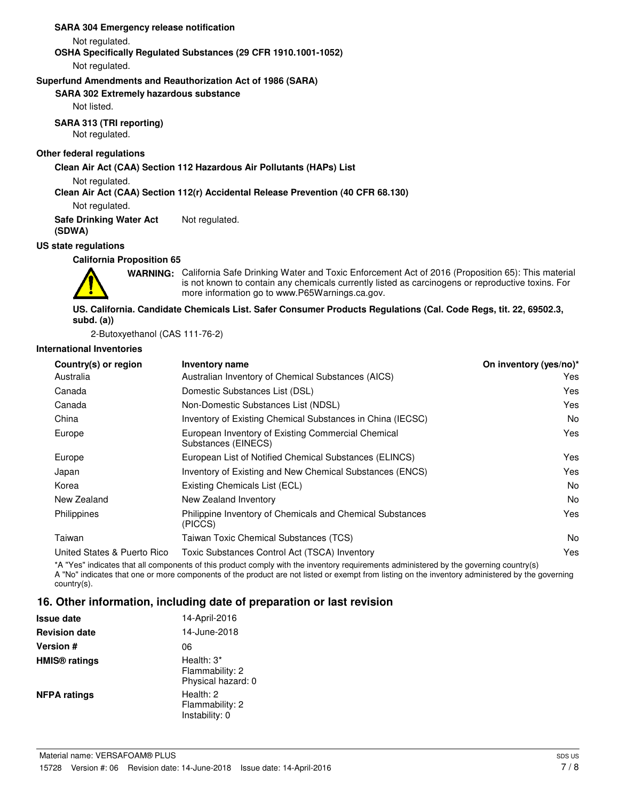**SARA 304 Emergency release notification**

Not regulated.

#### **OSHA Specifically Regulated Substances (29 CFR 1910.1001-1052)**

Not regulated.

#### **Superfund Amendments and Reauthorization Act of 1986 (SARA)**

**SARA 302 Extremely hazardous substance**

Not listed.

#### **SARA 313 (TRI reporting)**

Not regulated.

#### **Other federal regulations**

#### **Clean Air Act (CAA) Section 112 Hazardous Air Pollutants (HAPs) List**

Not regulated.

#### **Clean Air Act (CAA) Section 112(r) Accidental Release Prevention (40 CFR 68.130)**

Not regulated.

**Safe Drinking Water Act** Not regulated.

**(SDWA) US state regulations**

## **California Proposition 65**



WARNING: California Safe Drinking Water and Toxic Enforcement Act of 2016 (Proposition 65): This material is not known to contain any chemicals currently listed as carcinogens or reproductive toxins. For more information go to www.P65Warnings.ca.gov.

#### **US. California. Candidate Chemicals List. Safer Consumer Products Regulations (Cal. Code Regs, tit. 22, 69502.3, subd. (a))**

2-Butoxyethanol (CAS 111-76-2)

#### **International Inventories**

| Country(s) or region        | Inventory name                                                            | On inventory (yes/no)* |
|-----------------------------|---------------------------------------------------------------------------|------------------------|
| Australia                   | Australian Inventory of Chemical Substances (AICS)                        | Yes                    |
| Canada                      | Domestic Substances List (DSL)                                            | Yes                    |
| Canada                      | Non-Domestic Substances List (NDSL)                                       | Yes                    |
| China                       | Inventory of Existing Chemical Substances in China (IECSC)                | No.                    |
| Europe                      | European Inventory of Existing Commercial Chemical<br>Substances (EINECS) | Yes                    |
| Europe                      | European List of Notified Chemical Substances (ELINCS)                    | Yes                    |
| Japan                       | Inventory of Existing and New Chemical Substances (ENCS)                  | Yes                    |
| Korea                       | Existing Chemicals List (ECL)                                             | No.                    |
| New Zealand                 | New Zealand Inventory                                                     | No.                    |
| Philippines                 | Philippine Inventory of Chemicals and Chemical Substances<br>(PICCS)      | Yes                    |
| Taiwan                      | Taiwan Toxic Chemical Substances (TCS)                                    | No.                    |
| United States & Puerto Rico | Toxic Substances Control Act (TSCA) Inventory                             | Yes                    |
|                             |                                                                           |                        |

\*A "Yes" indicates that all components of this product comply with the inventory requirements administered by the governing country(s) A "No" indicates that one or more components of the product are not listed or exempt from listing on the inventory administered by the governing country(s).

#### **16. Other information, including date of preparation or last revision**

| <b>Issue date</b>               | 14-April-2016                                          |
|---------------------------------|--------------------------------------------------------|
| <b>Revision date</b>            | 14-June-2018                                           |
| <b>Version #</b>                | 06                                                     |
| <b>HMIS<sup>®</sup></b> ratings | Health: $3^*$<br>Flammability: 2<br>Physical hazard: 0 |
| <b>NFPA ratings</b>             | Health: 2<br>Flammability: 2<br>Instability: 0         |